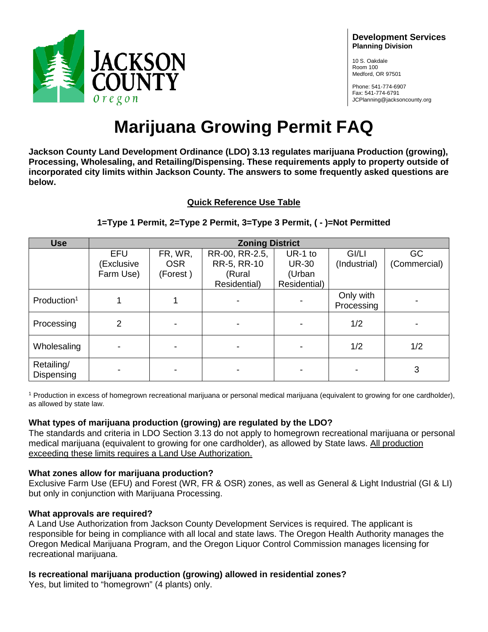

#### **Development Services Planning Division**

10 S. Oakdale Room 100 Medford, OR 97501

Phone: 541-774-6907 Fax: 541-774-6791 JCPlanning@jacksoncounty.org

# **Marijuana Growing Permit FAQ**

**Jackson County Land Development Ordinance (LDO) 3.13 regulates marijuana Production (growing), Processing, Wholesaling, and Retailing/Dispensing. These requirements apply to property outside of incorporated city limits within Jackson County. The answers to some frequently asked questions are below.** 

## **Quick Reference Use Table**

| <b>Use</b>               | <b>Zoning District</b> |            |                |              |                         |              |
|--------------------------|------------------------|------------|----------------|--------------|-------------------------|--------------|
|                          | <b>EFU</b>             | FR, WR,    | RR-00, RR-2.5, | UR-1 to      | GI/LI                   | GC           |
|                          | (Exclusive             | <b>OSR</b> | RR-5, RR-10    | <b>UR-30</b> | (Industrial)            | (Commercial) |
|                          | Farm Use)              | (Forest)   | (Rural         | (Urban       |                         |              |
|                          |                        |            | Residential)   | Residential) |                         |              |
| Production <sup>1</sup>  |                        |            |                |              | Only with<br>Processing |              |
| Processing               | $\overline{2}$         |            |                |              | 1/2                     |              |
| Wholesaling              |                        |            |                |              | 1/2                     | 1/2          |
| Retailing/<br>Dispensing |                        |            |                |              |                         | 3            |

## **1=Type 1 Permit, 2=Type 2 Permit, 3=Type 3 Permit, ( - )=Not Permitted**

<sup>1</sup> Production in excess of homegrown recreational marijuana or personal medical marijuana (equivalent to growing for one cardholder), as allowed by state law.

# **What types of marijuana production (growing) are regulated by the LDO?**

The standards and criteria in LDO Section 3.13 do not apply to homegrown recreational marijuana or personal medical marijuana (equivalent to growing for one cardholder), as allowed by State laws. All production exceeding these limits requires a Land Use Authorization.

## **What zones allow for marijuana production?**

Exclusive Farm Use (EFU) and Forest (WR, FR & OSR) zones, as well as General & Light Industrial (GI & LI) but only in conjunction with Marijuana Processing.

## **What approvals are required?**

A Land Use Authorization from Jackson County Development Services is required. The applicant is responsible for being in compliance with all local and state laws. The Oregon Health Authority manages the Oregon Medical Marijuana Program, and the Oregon Liquor Control Commission manages licensing for recreational marijuana.

# **Is recreational marijuana production (growing) allowed in residential zones?**

Yes, but limited to "homegrown" (4 plants) only.